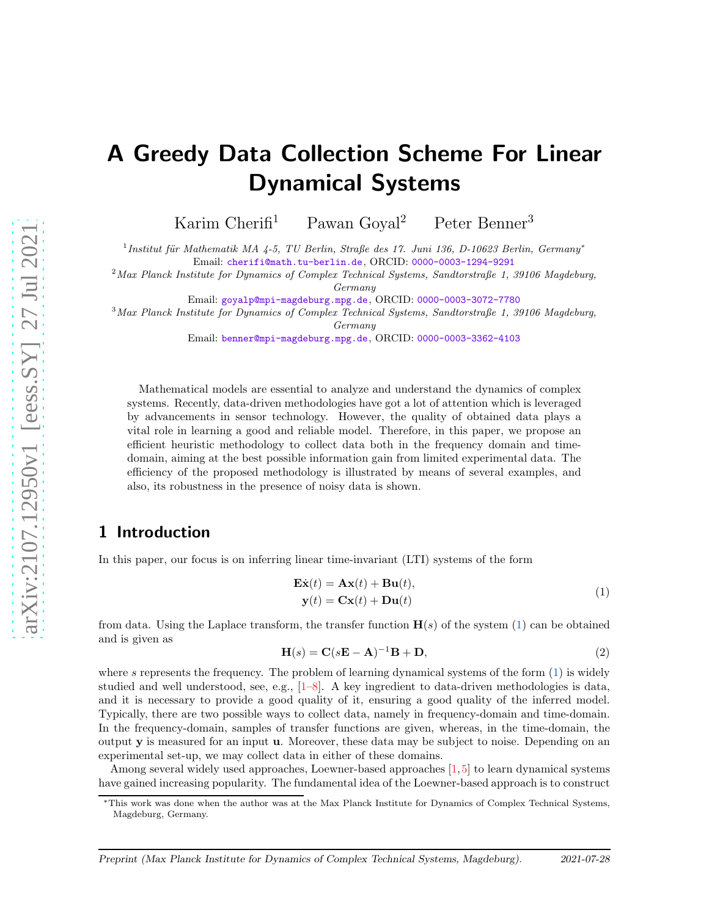# A Greedy Data Collection Scheme For Linear Dynamical Systems

Karim Cherifi<sup>1</sup> Pawan Goyal<sup>2</sup> Peter Benner<sup>3</sup>

 $^{1}$ Institut für Mathematik MA 4-5, TU Berlin, Straße des 17. Juni 136, D-10623 Berlin, Germany<sup>\*</sup>

Email: [cherifi@math.tu-berlin.de](mailto:cherifi@math.tu-berlin.de), ORCID: [0000-0003-1294-9291](https://orcid.org/0000-0003-1294-9291)

 $2$ Max Planck Institute for Dynamics of Complex Technical Systems, Sandtorstraße 1, 39106 Magdeburg, Germany

Email: [goyalp@mpi-magdeburg.mpg.de](mailto:goyalp@mpi-magdeburg.mpg.de), ORCID: [0000-0003-3072-7780](https://orcid.org/0000-0003-3072-7780)

<sup>3</sup>Max Planck Institute for Dynamics of Complex Technical Systems, Sandtorstraße 1, 39106 Magdeburg,

Germany

Email: [benner@mpi-magdeburg.mpg.de](mailto:benner@mpi-magdeburg.mpg.de), ORCID: [0000-0003-3362-4103](https://orcid.org/0000-0003-3362-4103)

Mathematical models are essential to analyze and understand the dynamics of complex systems. Recently, data-driven methodologies have got a lot of attention which is leveraged by advancements in sensor technology. However, the quality of obtained data plays a vital role in learning a good and reliable model. Therefore, in this paper, we propose an efficient heuristic methodology to collect data both in the frequency domain and timedomain, aiming at the best possible information gain from limited experimental data. The efficiency of the proposed methodology is illustrated by means of several examples, and also, its robustness in the presence of noisy data is shown.

# 1 Introduction

In this paper, our focus is on inferring linear time-invariant (LTI) systems of the form

<span id="page-0-0"></span>
$$
\mathbf{Ex}(t) = \mathbf{Ax}(t) + \mathbf{B}\mathbf{u}(t),
$$
  
\n
$$
\mathbf{y}(t) = \mathbf{Cx}(t) + \mathbf{D}\mathbf{u}(t)
$$
\n(1)

from data. Using the Laplace transform, the transfer function  $H(s)$  of the system [\(1\)](#page-0-0) can be obtained and is given as

$$
\mathbf{H}(s) = \mathbf{C}(s\mathbf{E} - \mathbf{A})^{-1}\mathbf{B} + \mathbf{D},\tag{2}
$$

where s represents the frequency. The problem of learning dynamical systems of the form [\(1\)](#page-0-0) is widely studied and well understood, see, e.g.,  $[1-8]$  $[1-8]$ . A key ingredient to data-driven methodologies is data, and it is necessary to provide a good quality of it, ensuring a good quality of the inferred model. Typically, there are two possible ways to collect data, namely in frequency-domain and time-domain. In the frequency-domain, samples of transfer functions are given, whereas, in the time-domain, the output y is measured for an input u. Moreover, these data may be subject to noise. Depending on an experimental set-up, we may collect data in either of these domains.

Among several widely used approaches, Loewner-based approaches [\[1,](#page-11-0)[5\]](#page-12-1) to learn dynamical systems have gained increasing popularity. The fundamental idea of the Loewner-based approach is to construct

<sup>∗</sup>This work was done when the author was at the Max Planck Institute for Dynamics of Complex Technical Systems, Magdeburg, Germany.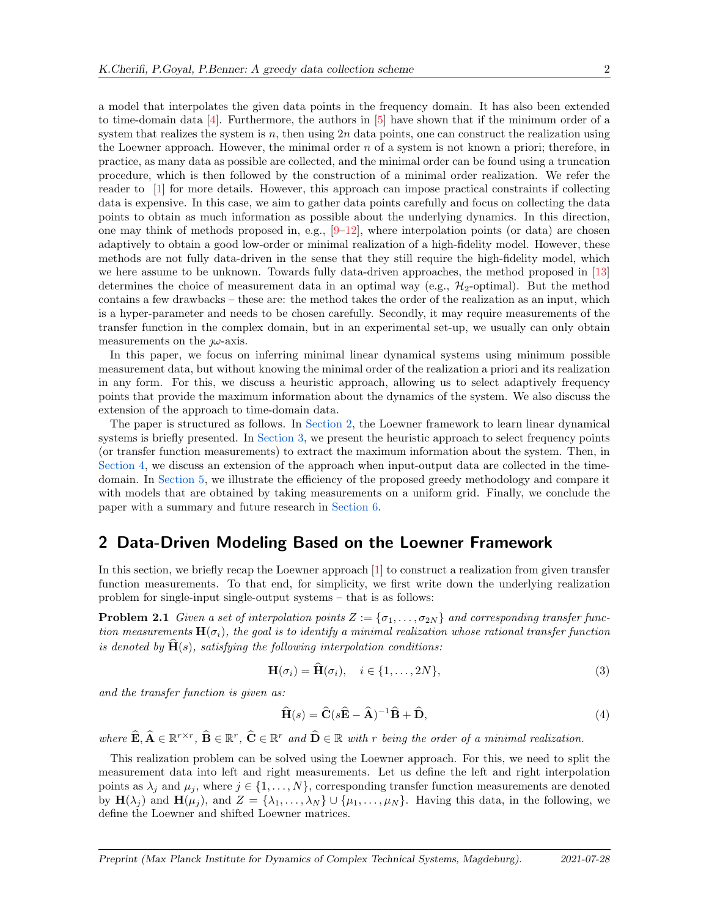a model that interpolates the given data points in the frequency domain. It has also been extended to time-domain data  $[4]$ . Furthermore, the authors in  $[5]$  have shown that if the minimum order of a system that realizes the system is  $n$ , then using  $2n$  data points, one can construct the realization using the Loewner approach. However, the minimal order  $n$  of a system is not known a priori; therefore, in practice, as many data as possible are collected, and the minimal order can be found using a truncation procedure, which is then followed by the construction of a minimal order realization. We refer the reader to [\[1\]](#page-11-0) for more details. However, this approach can impose practical constraints if collecting data is expensive. In this case, we aim to gather data points carefully and focus on collecting the data points to obtain as much information as possible about the underlying dynamics. In this direction, one may think of methods proposed in, e.g.,  $[9-12]$ , where interpolation points (or data) are chosen adaptively to obtain a good low-order or minimal realization of a high-fidelity model. However, these methods are not fully data-driven in the sense that they still require the high-fidelity model, which we here assume to be unknown. Towards fully data-driven approaches, the method proposed in [\[13\]](#page-12-5) determines the choice of measurement data in an optimal way (e.g.,  $\mathcal{H}_2$ -optimal). But the method contains a few drawbacks – these are: the method takes the order of the realization as an input, which is a hyper-parameter and needs to be chosen carefully. Secondly, it may require measurements of the transfer function in the complex domain, but in an experimental set-up, we usually can only obtain

In this paper, we focus on inferring minimal linear dynamical systems using minimum possible measurement data, but without knowing the minimal order of the realization a priori and its realization in any form. For this, we discuss a heuristic approach, allowing us to select adaptively frequency points that provide the maximum information about the dynamics of the system. We also discuss the extension of the approach to time-domain data.

The paper is structured as follows. In [Section 2,](#page-1-0) the Loewner framework to learn linear dynamical systems is briefly presented. In [Section 3,](#page-2-0) we present the heuristic approach to select frequency points (or transfer function measurements) to extract the maximum information about the system. Then, in [Section 4,](#page-5-0) we discuss an extension of the approach when input-output data are collected in the timedomain. In [Section 5,](#page-7-0) we illustrate the efficiency of the proposed greedy methodology and compare it with models that are obtained by taking measurements on a uniform grid. Finally, we conclude the paper with a summary and future research in [Section 6.](#page-10-0)

### <span id="page-1-0"></span>2 Data-Driven Modeling Based on the Loewner Framework

In this section, we briefly recap the Loewner approach [\[1\]](#page-11-0) to construct a realization from given transfer function measurements. To that end, for simplicity, we first write down the underlying realization problem for single-input single-output systems – that is as follows:

**Problem 2.1** *Given a set of interpolation points*  $Z := \{\sigma_1, \ldots, \sigma_{2N}\}\$  *and corresponding transfer function measurements*  $H(\sigma_i)$ *, the goal is to identify a minimal realization whose rational transfer function is denoted by*  $\dot{H}(s)$ *, satisfying the following interpolation conditions:* 

<span id="page-1-1"></span>
$$
\mathbf{H}(\sigma_i) = \mathbf{H}(\sigma_i), \quad i \in \{1, \dots, 2N\},\tag{3}
$$

*and the transfer function is given as:*

measurements on the  $\mu$ -axis.

<span id="page-1-2"></span>
$$
\widehat{\mathbf{H}}(s) = \widehat{\mathbf{C}}(s\widehat{\mathbf{E}} - \widehat{\mathbf{A}})^{-1}\widehat{\mathbf{B}} + \widehat{\mathbf{D}},\tag{4}
$$

 $where \ \hat{\mathbf{E}}, \hat{\mathbf{A}} \in \mathbb{R}^{r \times r}, \ \hat{\mathbf{B}} \in \mathbb{R}^{r}, \ \hat{\mathbf{C}} \in \mathbb{R}^{r} and \ \hat{\mathbf{D}} \in \mathbb{R} \ with \ r \ being \ the \ order \ of \ a \ minimal \ realization.$ 

This realization problem can be solved using the Loewner approach. For this, we need to split the measurement data into left and right measurements. Let us define the left and right interpolation points as  $\lambda_j$  and  $\mu_j$ , where  $j \in \{1, \ldots, N\}$ , corresponding transfer function measurements are denoted by  $\mathbf{H}(\lambda_j)$  and  $\mathbf{H}(\mu_j)$ , and  $Z = {\lambda_1, \ldots, \lambda_N} \cup {\mu_1, \ldots, \mu_N}$ . Having this data, in the following, we define the Loewner and shifted Loewner matrices.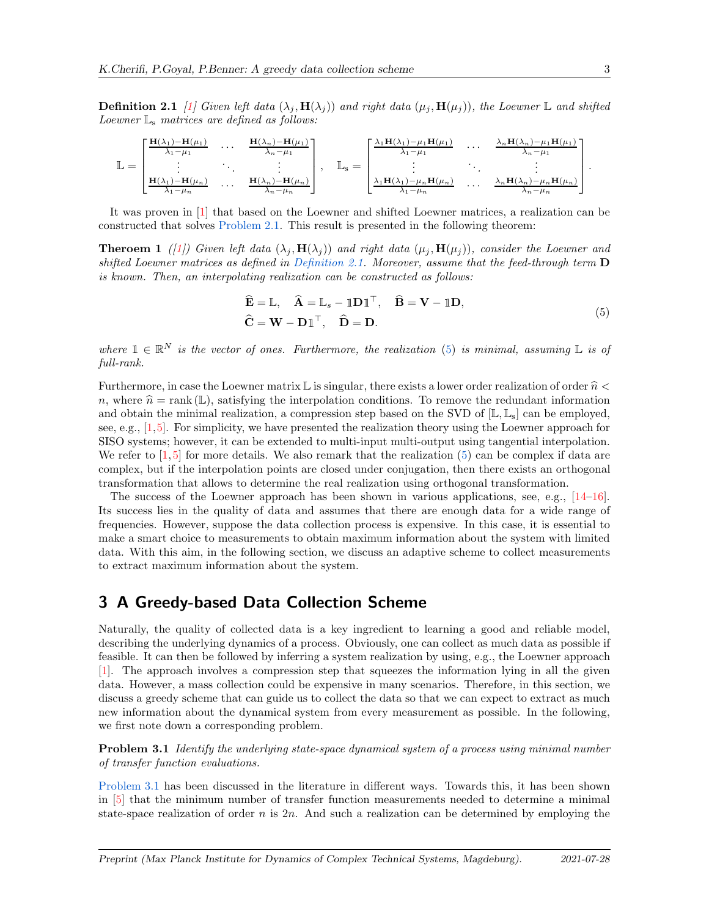**Definition 2.1** *[\[1\]](#page-11-0)* Given left data  $(\lambda_j, \mathbf{H}(\lambda_j))$  and right data  $(\mu_j, \mathbf{H}(\mu_j))$ *, the Loewner* L and shifted *Loewner* L<sup>s</sup> *matrices are defined as follows:*

$$
\mathbb{L} = \begin{bmatrix} \frac{\mathbf{H}(\lambda_1) - \mathbf{H}(\mu_1)}{\lambda_1 - \mu_1} & \cdots & \frac{\mathbf{H}(\lambda_n) - \mathbf{H}(\mu_1)}{\lambda_n - \mu_1} \\ \vdots & \ddots & \vdots \\ \frac{\mathbf{H}(\lambda_1) - \mathbf{H}(\mu_n)}{\lambda_1 - \mu_n} & \cdots & \frac{\mathbf{H}(\lambda_n) - \mathbf{H}(\mu_n)}{\lambda_n - \mu_n} \end{bmatrix}, \quad \mathbb{L}_{\mathbf{s}} = \begin{bmatrix} \frac{\lambda_1 \mathbf{H}(\lambda_1) - \mu_1 \mathbf{H}(\mu_1)}{\lambda_1 - \mu_1} & \cdots & \frac{\lambda_n \mathbf{H}(\lambda_n) - \mu_1 \mathbf{H}(\mu_1)}{\lambda_n - \mu_1} \\ \vdots & \ddots & \vdots \\ \frac{\lambda_1 \mathbf{H}(\lambda_1) - \mu_n \mathbf{H}(\mu_n)}{\lambda_1 - \mu_n} & \cdots & \frac{\lambda_n \mathbf{H}(\lambda_n) - \mu_n \mathbf{H}(\mu_n)}{\lambda_n - \mu_n} \end{bmatrix}.
$$

It was proven in [\[1\]](#page-11-0) that based on the Loewner and shifted Loewner matrices, a realization can be constructed that solves [Problem 2.1.](#page-1-1) This result is presented in the following theorem:

**Theroem 1** *([\[1\]](#page-11-0))* Given left data  $(\lambda_i, \mathbf{H}(\lambda_i))$  *and right data*  $(\mu_i, \mathbf{H}(\mu_i))$ *, consider the Loewner and shifted Loewner matrices as defined in [Definition 2.1.](#page-1-2) Moreover, assume that the feed-through term* D *is known. Then, an interpolating realization can be constructed as follows:*

<span id="page-2-1"></span>
$$
\widehat{\mathbf{E}} = \mathbb{L}, \quad \widehat{\mathbf{A}} = \mathbb{L}_s - \mathbb{I} \mathbf{D} \mathbb{I}^\top, \quad \widehat{\mathbf{B}} = \mathbf{V} - \mathbb{I} \mathbf{D},
$$
  
\n
$$
\widehat{\mathbf{C}} = \mathbf{W} - \mathbf{D} \mathbb{I}^\top, \quad \widehat{\mathbf{D}} = \mathbf{D}.
$$
\n(5)

*where*  $\mathbb{1} \in \mathbb{R}^N$  *is the vector of ones. Furthermore, the realization* [\(5\)](#page-2-1) *is minimal, assuming*  $\mathbb{L}$  *is of full-rank.*

Furthermore, in case the Loewner matrix  $\mathbb L$  is singular, there exists a lower order realization of order  $\hat n$  < n, where  $\hat{n} = \text{rank}(\mathbb{L})$ , satisfying the interpolation conditions. To remove the redundant information and obtain the minimal realization, a compression step based on the SVD of  $[\mathbb{L}, \mathbb{L}_s]$  can be employed, see, e.g., [\[1,](#page-11-0)[5\]](#page-12-1). For simplicity, we have presented the realization theory using the Loewner approach for SISO systems; however, it can be extended to multi-input multi-output using tangential interpolation. We refer to  $[1, 5]$  $[1, 5]$  for more details. We also remark that the realization  $(5)$  can be complex if data are complex, but if the interpolation points are closed under conjugation, then there exists an orthogonal transformation that allows to determine the real realization using orthogonal transformation.

The success of the Loewner approach has been shown in various applications, see, e.g., [\[14](#page-13-0)[–16\]](#page-13-1). Its success lies in the quality of data and assumes that there are enough data for a wide range of frequencies. However, suppose the data collection process is expensive. In this case, it is essential to make a smart choice to measurements to obtain maximum information about the system with limited data. With this aim, in the following section, we discuss an adaptive scheme to collect measurements to extract maximum information about the system.

### <span id="page-2-0"></span>3 A Greedy-based Data Collection Scheme

Naturally, the quality of collected data is a key ingredient to learning a good and reliable model, describing the underlying dynamics of a process. Obviously, one can collect as much data as possible if feasible. It can then be followed by inferring a system realization by using, e.g., the Loewner approach [\[1\]](#page-11-0). The approach involves a compression step that squeezes the information lying in all the given data. However, a mass collection could be expensive in many scenarios. Therefore, in this section, we discuss a greedy scheme that can guide us to collect the data so that we can expect to extract as much new information about the dynamical system from every measurement as possible. In the following, we first note down a corresponding problem.

<span id="page-2-2"></span>Problem 3.1 *Identify the underlying state-space dynamical system of a process using minimal number of transfer function evaluations.*

[Problem 3.1](#page-2-2) has been discussed in the literature in different ways. Towards this, it has been shown in [\[5\]](#page-12-1) that the minimum number of transfer function measurements needed to determine a minimal state-space realization of order  $n$  is  $2n$ . And such a realization can be determined by employing the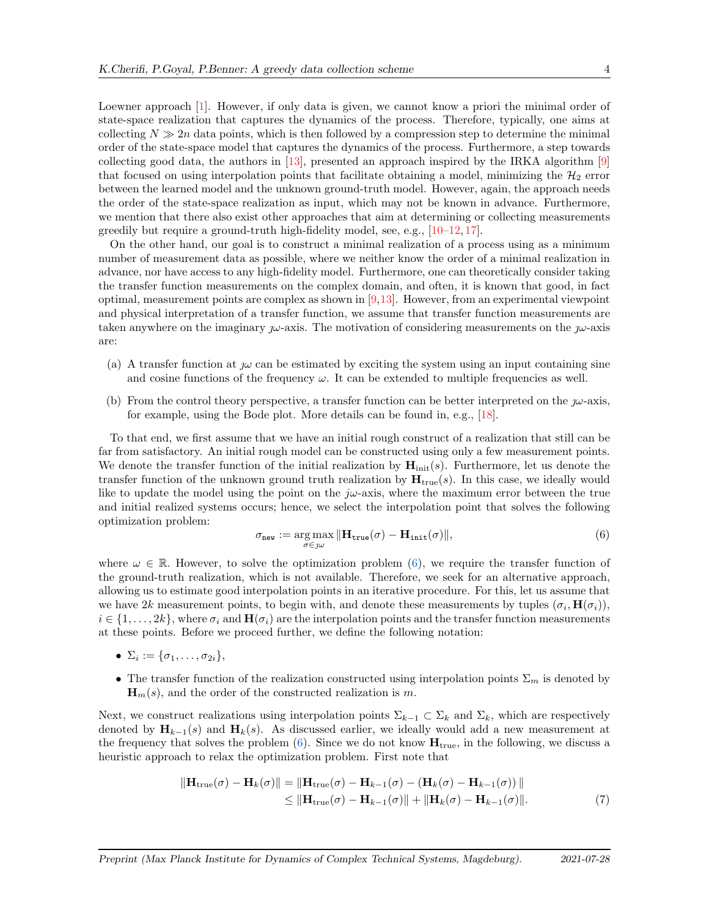Loewner approach [\[1\]](#page-11-0). However, if only data is given, we cannot know a priori the minimal order of state-space realization that captures the dynamics of the process. Therefore, typically, one aims at collecting  $N \gg 2n$  data points, which is then followed by a compression step to determine the minimal order of the state-space model that captures the dynamics of the process. Furthermore, a step towards collecting good data, the authors in  $[13]$ , presented an approach inspired by the IRKA algorithm  $[9]$ that focused on using interpolation points that facilitate obtaining a model, minimizing the  $\mathcal{H}_2$  error between the learned model and the unknown ground-truth model. However, again, the approach needs the order of the state-space realization as input, which may not be known in advance. Furthermore, we mention that there also exist other approaches that aim at determining or collecting measurements greedily but require a ground-truth high-fidelity model, see, e.g.,  $[10-12, 17]$  $[10-12, 17]$  $[10-12, 17]$  $[10-12, 17]$ .

On the other hand, our goal is to construct a minimal realization of a process using as a minimum number of measurement data as possible, where we neither know the order of a minimal realization in advance, nor have access to any high-fidelity model. Furthermore, one can theoretically consider taking the transfer function measurements on the complex domain, and often, it is known that good, in fact optimal, measurement points are complex as shown in  $[9,13]$  $[9,13]$ . However, from an experimental viewpoint and physical interpretation of a transfer function, we assume that transfer function measurements are taken anywhere on the imaginary  $\omega$ -axis. The motivation of considering measurements on the  $\omega$ -axis are:

- (a) A transfer function at  $\omega$  can be estimated by exciting the system using an input containing sine and cosine functions of the frequency  $\omega$ . It can be extended to multiple frequencies as well.
- (b) From the control theory perspective, a transfer function can be better interpreted on the  $j\omega$ -axis, for example, using the Bode plot. More details can be found in, e.g., [\[18\]](#page-13-3).

To that end, we first assume that we have an initial rough construct of a realization that still can be far from satisfactory. An initial rough model can be constructed using only a few measurement points. We denote the transfer function of the initial realization by  $\mathbf{H}_{init}(s)$ . Furthermore, let us denote the transfer function of the unknown ground truth realization by  $\mathbf{H}_{true}(s)$ . In this case, we ideally would like to update the model using the point on the  $j\omega$ -axis, where the maximum error between the true and initial realized systems occurs; hence, we select the interpolation point that solves the following optimization problem:

<span id="page-3-0"></span>
$$
\sigma_{\text{new}} := \underset{\sigma \in \mathcal{J}^{\omega}}{\arg \max} \|\mathbf{H}_{\text{true}}(\sigma) - \mathbf{H}_{\text{init}}(\sigma)\|,\tag{6}
$$

where  $\omega \in \mathbb{R}$ . However, to solve the optimization problem [\(6\)](#page-3-0), we require the transfer function of the ground-truth realization, which is not available. Therefore, we seek for an alternative approach, allowing us to estimate good interpolation points in an iterative procedure. For this, let us assume that we have 2k measurement points, to begin with, and denote these measurements by tuples  $(\sigma_i, \mathbf{H}(\sigma_i))$ ,  $i \in \{1,\ldots,2k\}$ , where  $\sigma_i$  and  $\mathbf{H}(\sigma_i)$  are the interpolation points and the transfer function measurements at these points. Before we proceed further, we define the following notation:

- $\Sigma_i := \{\sigma_1, \ldots, \sigma_{2i}\},\,$
- The transfer function of the realization constructed using interpolation points  $\Sigma_m$  is denoted by  $\mathbf{H}_m(s)$ , and the order of the constructed realization is m.

Next, we construct realizations using interpolation points  $\Sigma_{k-1} \subset \Sigma_k$  and  $\Sigma_k$ , which are respectively denoted by  $\mathbf{H}_{k-1}(s)$  and  $\mathbf{H}_k(s)$ . As discussed earlier, we ideally would add a new measurement at the frequency that solves the problem  $(6)$ . Since we do not know  $\mathbf{H}_{true}$ , in the following, we discuss a heuristic approach to relax the optimization problem. First note that

<span id="page-3-1"></span>
$$
\|\mathbf{H}_{\text{true}}(\sigma) - \mathbf{H}_k(\sigma)\| = \|\mathbf{H}_{\text{true}}(\sigma) - \mathbf{H}_{k-1}(\sigma) - (\mathbf{H}_k(\sigma) - \mathbf{H}_{k-1}(\sigma))\|
$$
  
\n
$$
\leq \|\mathbf{H}_{\text{true}}(\sigma) - \mathbf{H}_{k-1}(\sigma)\| + \|\mathbf{H}_k(\sigma) - \mathbf{H}_{k-1}(\sigma)\|.
$$
 (7)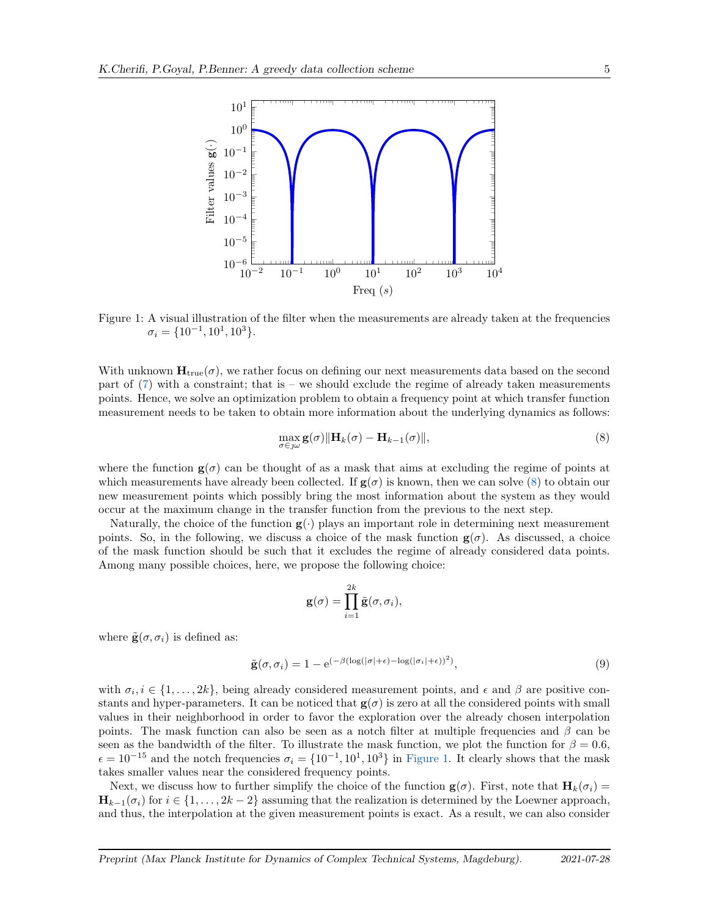<span id="page-4-1"></span>

Figure 1: A visual illustration of the filter when the measurements are already taken at the frequencies  $\sigma_i = \{10^{-1}, 10^1, 10^3\}.$ 

With unknown  $\mathbf{H}_{true}(\sigma)$ , we rather focus on defining our next measurements data based on the second part of  $(7)$  with a constraint; that is – we should exclude the regime of already taken measurements points. Hence, we solve an optimization problem to obtain a frequency point at which transfer function measurement needs to be taken to obtain more information about the underlying dynamics as follows:

<span id="page-4-0"></span>
$$
\max_{\sigma \in \mathcal{J}\omega} \mathbf{g}(\sigma) \| \mathbf{H}_k(\sigma) - \mathbf{H}_{k-1}(\sigma) \|, \tag{8}
$$

where the function  $g(\sigma)$  can be thought of as a mask that aims at excluding the regime of points at which measurements have already been collected. If  $g(\sigma)$  is known, then we can solve [\(8\)](#page-4-0) to obtain our new measurement points which possibly bring the most information about the system as they would occur at the maximum change in the transfer function from the previous to the next step.

Naturally, the choice of the function  $g(.)$  plays an important role in determining next measurement points. So, in the following, we discuss a choice of the mask function  $g(\sigma)$ . As discussed, a choice of the mask function should be such that it excludes the regime of already considered data points. Among many possible choices, here, we propose the following choice:

$$
\mathbf{g}(\sigma) = \prod_{i=1}^{2k} \tilde{\mathbf{g}}(\sigma, \sigma_i),
$$

where  $\tilde{\mathbf{g}}(\sigma, \sigma_i)$  is defined as:

<span id="page-4-2"></span>
$$
\tilde{\mathbf{g}}(\sigma,\sigma_i) = 1 - e^{(-\beta(\log(|\sigma| + \epsilon) - \log(|\sigma_i| + \epsilon))^2)},\tag{9}
$$

with  $\sigma_i, i \in \{1, \ldots, 2k\}$ , being already considered measurement points, and  $\epsilon$  and  $\beta$  are positive constants and hyper-parameters. It can be noticed that  $g(\sigma)$  is zero at all the considered points with small values in their neighborhood in order to favor the exploration over the already chosen interpolation points. The mask function can also be seen as a notch filter at multiple frequencies and  $\beta$  can be seen as the bandwidth of the filter. To illustrate the mask function, we plot the function for  $\beta = 0.6$ ,  $\epsilon = 10^{-15}$  and the notch frequencies  $\sigma_i = \{10^{-1}, 10^1, 10^3\}$  in [Figure 1.](#page-4-1) It clearly shows that the mask takes smaller values near the considered frequency points.

Next, we discuss how to further simplify the choice of the function  $\mathbf{g}(\sigma)$ . First, note that  $\mathbf{H}_k(\sigma_i)$  =  $\mathbf{H}_{k-1}(\sigma_i)$  for  $i \in \{1, \ldots, 2k-2\}$  assuming that the realization is determined by the Loewner approach, and thus, the interpolation at the given measurement points is exact. As a result, we can also consider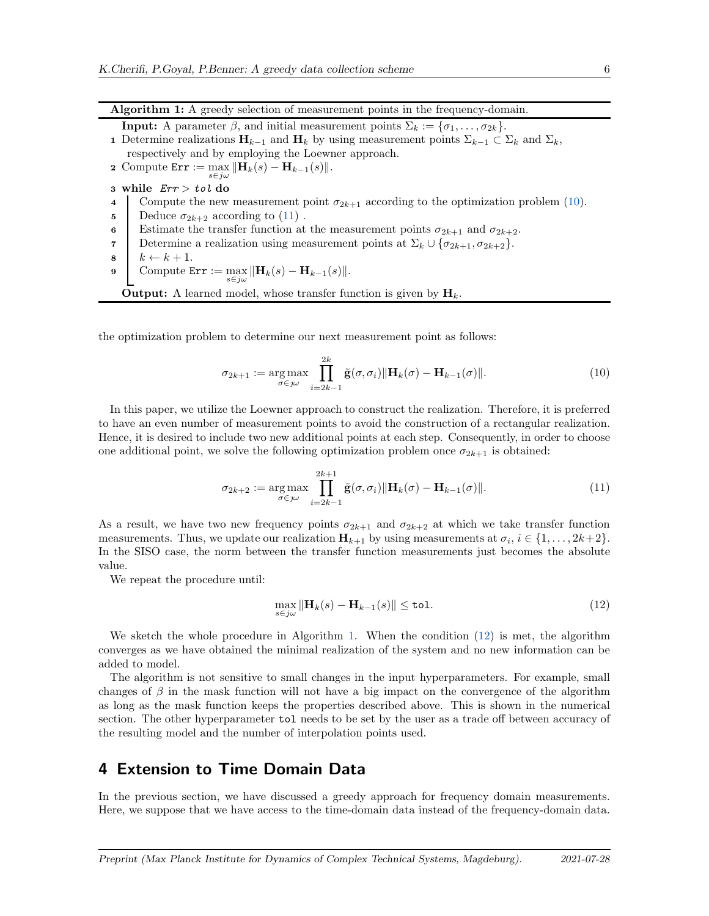Algorithm 1: A greedy selection of measurement points in the frequency-domain. **Input:** A parameter  $\beta$ , and initial measurement points  $\Sigma_k := {\sigma_1, \ldots, \sigma_{2k}}$ . 1 Determine realizations  $\mathbf{H}_{k-1}$  and  $\mathbf{H}_k$  by using measurement points  $\Sigma_{k-1} \subset \Sigma_k$  and  $\Sigma_k$ , respectively and by employing the Loewner approach. 2 Compute  $\texttt{Err} := \max_{s \in i\omega} \|\mathbf{H}_k(s) - \mathbf{H}_{k-1}(s)\|.$  $s \in i \omega$ 3 while  $Err > tol$  do 4 Compute the new measurement point  $\sigma_{2k+1}$  according to the optimization problem [\(10\)](#page-5-1).

- 5 Deduce  $\sigma_{2k+2}$  according to  $(11)$ .
- 6 Estimate the transfer function at the measurement points  $\sigma_{2k+1}$  and  $\sigma_{2k+2}$ .
- 7 Determine a realization using measurement points at  $\Sigma_k \cup {\sigma_{2k+1}, \sigma_{2k+2}}$ .<br>8  $k \leftarrow k+1$ .
- $\begin{array}{c|c}\n\mathbf{s} & k \leftarrow k+1. \\
\mathbf{s} & \text{Compute E}\n\end{array}$
- 9 Compute  $\texttt{Err} := \max_{s \in j\omega} \|\mathbf{H}_k(s) \mathbf{H}_{k-1}(s)\|.$

<span id="page-5-3"></span>**Output:** A learned model, whose transfer function is given by  $H_k$ .

the optimization problem to determine our next measurement point as follows:

<span id="page-5-1"></span>
$$
\sigma_{2k+1} := \underset{\sigma \in \mathcal{J}\omega}{\arg \max} \prod_{i=2k-1}^{2k} \tilde{\mathbf{g}}(\sigma, \sigma_i) \|\mathbf{H}_k(\sigma) - \mathbf{H}_{k-1}(\sigma)\|.
$$
 (10)

In this paper, we utilize the Loewner approach to construct the realization. Therefore, it is preferred to have an even number of measurement points to avoid the construction of a rectangular realization. Hence, it is desired to include two new additional points at each step. Consequently, in order to choose one additional point, we solve the following optimization problem once  $\sigma_{2k+1}$  is obtained:

$$
\sigma_{2k+2} := \underset{\sigma \in \mathcal{J}\omega}{\arg \max} \prod_{i=2k-1}^{2k+1} \tilde{\mathbf{g}}(\sigma, \sigma_i) \|\mathbf{H}_k(\sigma) - \mathbf{H}_{k-1}(\sigma)\|.
$$
\n(11)

As a result, we have two new frequency points  $\sigma_{2k+1}$  and  $\sigma_{2k+2}$  at which we take transfer function measurements. Thus, we update our realization  $\mathbf{H}_{k+1}$  by using measurements at  $\sigma_i$ ,  $i \in \{1, \ldots, 2k+2\}$ . In the SISO case, the norm between the transfer function measurements just becomes the absolute value.

We repeat the procedure until:

<span id="page-5-4"></span><span id="page-5-2"></span>
$$
\max_{s \in j\omega} \|\mathbf{H}_k(s) - \mathbf{H}_{k-1}(s)\| \le \mathtt{tol}.\tag{12}
$$

We sketch the whole procedure in Algorithm [1.](#page-5-3) When the condition [\(12\)](#page-5-4) is met, the algorithm converges as we have obtained the minimal realization of the system and no new information can be added to model.

The algorithm is not sensitive to small changes in the input hyperparameters. For example, small changes of  $\beta$  in the mask function will not have a big impact on the convergence of the algorithm as long as the mask function keeps the properties described above. This is shown in the numerical section. The other hyperparameter tol needs to be set by the user as a trade off between accuracy of the resulting model and the number of interpolation points used.

## <span id="page-5-0"></span>4 Extension to Time Domain Data

In the previous section, we have discussed a greedy approach for frequency domain measurements. Here, we suppose that we have access to the time-domain data instead of the frequency-domain data.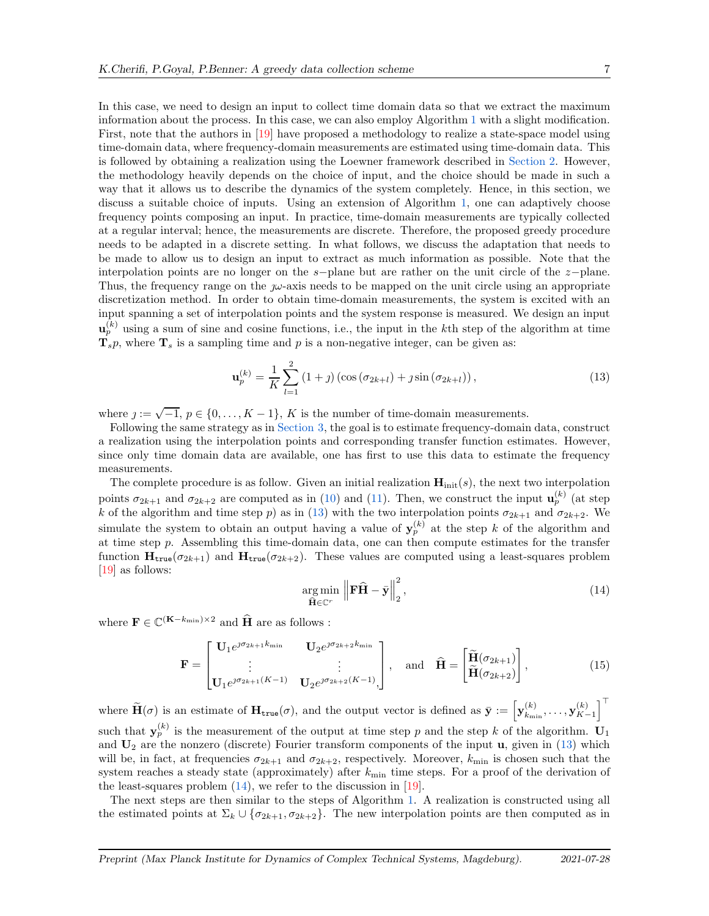In this case, we need to design an input to collect time domain data so that we extract the maximum information about the process. In this case, we can also employ Algorithm [1](#page-5-3) with a slight modification. First, note that the authors in [\[19\]](#page-13-4) have proposed a methodology to realize a state-space model using time-domain data, where frequency-domain measurements are estimated using time-domain data. This is followed by obtaining a realization using the Loewner framework described in [Section 2.](#page-1-0) However, the methodology heavily depends on the choice of input, and the choice should be made in such a way that it allows us to describe the dynamics of the system completely. Hence, in this section, we discuss a suitable choice of inputs. Using an extension of Algorithm [1,](#page-5-3) one can adaptively choose frequency points composing an input. In practice, time-domain measurements are typically collected at a regular interval; hence, the measurements are discrete. Therefore, the proposed greedy procedure needs to be adapted in a discrete setting. In what follows, we discuss the adaptation that needs to be made to allow us to design an input to extract as much information as possible. Note that the interpolation points are no longer on the s−plane but are rather on the unit circle of the z−plane. Thus, the frequency range on the  $\mu$ -axis needs to be mapped on the unit circle using an appropriate discretization method. In order to obtain time-domain measurements, the system is excited with an input spanning a set of interpolation points and the system response is measured. We design an input

 $\mathbf{u}_p^{(k)}$  using a sum of sine and cosine functions, i.e., the input in the kth step of the algorithm at time  $\mathbf{T}_s p$ , where  $\mathbf{T}_s$  is a sampling time and p is a non-negative integer, can be given as:

<span id="page-6-0"></span>
$$
\mathbf{u}_p^{(k)} = \frac{1}{K} \sum_{l=1}^2 (1+j) \left( \cos \left( \sigma_{2k+l} \right) + j \sin \left( \sigma_{2k+l} \right) \right),\tag{13}
$$

where  $j := \sqrt{-1}$ ,  $p \in \{0, ..., K-1\}$ , K is the number of time-domain measurements.

Following the same strategy as in [Section 3,](#page-2-0) the goal is to estimate frequency-domain data, construct a realization using the interpolation points and corresponding transfer function estimates. However, since only time domain data are available, one has first to use this data to estimate the frequency measurements.

The complete procedure is as follow. Given an initial realization  $\mathbf{H}_{init}(s)$ , the next two interpolation points  $\sigma_{2k+1}$  and  $\sigma_{2k+2}$  are computed as in [\(10\)](#page-5-1) and [\(11\)](#page-5-2). Then, we construct the input  $\mathbf{u}_p^{(k)}$  (at step k of the algorithm and time step p) as in [\(13\)](#page-6-0) with the two interpolation points  $\sigma_{2k+1}$  and  $\sigma_{2k+2}$ . We simulate the system to obtain an output having a value of  $y_p^{(k)}$  at the step k of the algorithm and at time step p. Assembling this time-domain data, one can then compute estimates for the transfer function  $\mathbf{H}_{\text{true}}(\sigma_{2k+1})$  and  $\mathbf{H}_{\text{true}}(\sigma_{2k+2})$ . These values are computed using a least-squares problem [\[19\]](#page-13-4) as follows:

$$
\underset{\widehat{\mathbf{H}} \in \mathbb{C}^r}{\arg \min} \left\| \mathbf{F} \widehat{\mathbf{H}} - \bar{\mathbf{y}} \right\|_2^2, \tag{14}
$$

where  $\mathbf{F} \in \mathbb{C}^{(\mathbf{K}-k_{\min})\times 2}$  and  $\widehat{\mathbf{H}}$  are as follows :

<span id="page-6-1"></span>
$$
\mathbf{F} = \begin{bmatrix} \mathbf{U}_1 e^{j\sigma_{2k+1}k_{\min}} & \mathbf{U}_2 e^{j\sigma_{2k+2}k_{\min}} \\ \vdots & \vdots \\ \mathbf{U}_1 e^{j\sigma_{2k+1}(K-1)} & \mathbf{U}_2 e^{j\sigma_{2k+2}(K-1)} \end{bmatrix}, \quad \text{and} \quad \hat{\mathbf{H}} = \begin{bmatrix} \widetilde{\mathbf{H}}(\sigma_{2k+1}) \\ \widetilde{\mathbf{H}}(\sigma_{2k+2}) \end{bmatrix}, \tag{15}
$$

where  $\widetilde{\mathbf{H}}(\sigma)$  is an estimate of  $\mathbf{H}_{\text{true}}(\sigma)$ , and the output vector is defined as  $\bar{\mathbf{y}} := \left[ \mathbf{y}_{k_{\text{min}}}^{(k)} \right]$  $\binom{k}{k_{\min}},\ldots,\textbf{y}_{K-1}^{(k)}$  $\begin{bmatrix} (k) \\ K-1 \end{bmatrix}^{\top}$ such that  $y_p^{(k)}$  is the measurement of the output at time step p and the step k of the algorithm.  $U_1$ and  $U_2$  are the nonzero (discrete) Fourier transform components of the input u, given in [\(13\)](#page-6-0) which will be, in fact, at frequencies  $\sigma_{2k+1}$  and  $\sigma_{2k+2}$ , respectively. Moreover,  $k_{\min}$  is chosen such that the system reaches a steady state (approximately) after  $k_{\text{min}}$  time steps. For a proof of the derivation of the least-squares problem  $(14)$ , we refer to the discussion in  $[19]$ .

The next steps are then similar to the steps of Algorithm [1.](#page-5-3) A realization is constructed using all the estimated points at  $\Sigma_k \cup {\sigma_{2k+1}, \sigma_{2k+2}}$ . The new interpolation points are then computed as in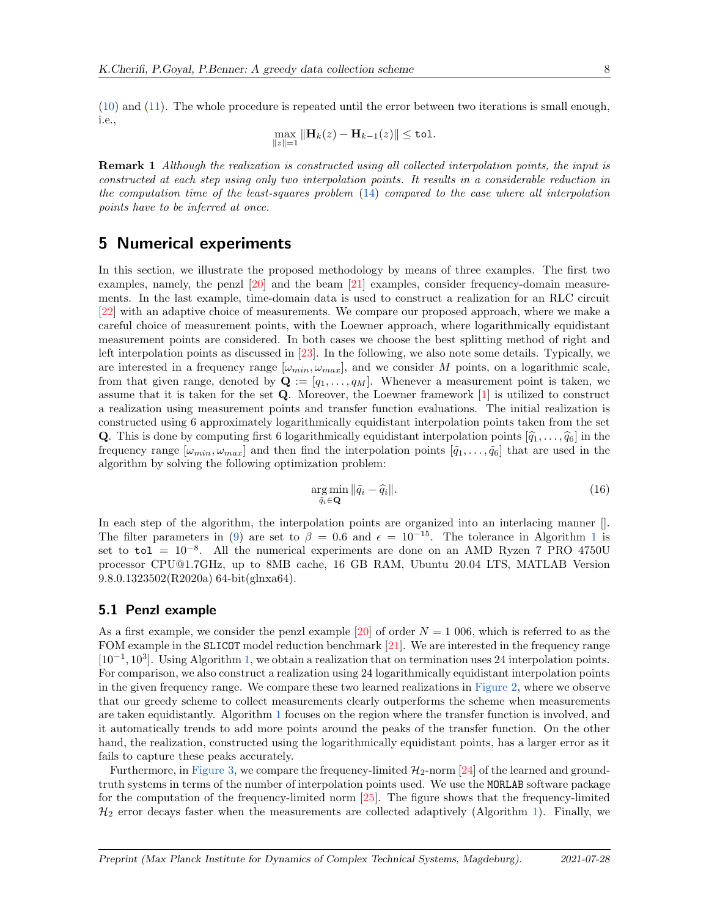[\(10\)](#page-5-1) and [\(11\)](#page-5-2). The whole procedure is repeated until the error between two iterations is small enough, i.e.,

$$
\max_{\|z\|=1} \|\mathbf{H}_k(z) - \mathbf{H}_{k-1}(z)\| \leq \mathtt{tol}.
$$

Remark 1 *Although the realization is constructed using all collected interpolation points, the input is constructed at each step using only two interpolation points. It results in a considerable reduction in the computation time of the least-squares problem* [\(14\)](#page-6-1) *compared to the case where all interpolation points have to be inferred at once.*

### <span id="page-7-0"></span>5 Numerical experiments

In this section, we illustrate the proposed methodology by means of three examples. The first two examples, namely, the penzl [\[20\]](#page-13-5) and the beam [\[21\]](#page-13-6) examples, consider frequency-domain measurements. In the last example, time-domain data is used to construct a realization for an RLC circuit [\[22\]](#page-13-7) with an adaptive choice of measurements. We compare our proposed approach, where we make a careful choice of measurement points, with the Loewner approach, where logarithmically equidistant measurement points are considered. In both cases we choose the best splitting method of right and left interpolation points as discussed in [\[23\]](#page-13-8). In the following, we also note some details. Typically, we are interested in a frequency range  $[\omega_{min}, \omega_{max}]$ , and we consider M points, on a logarithmic scale, from that given range, denoted by  $\mathbf{Q} := [q_1, \ldots, q_M]$ . Whenever a measurement point is taken, we assume that it is taken for the set  $Q$ . Moreover, the Loewner framework  $[1]$  is utilized to construct a realization using measurement points and transfer function evaluations. The initial realization is constructed using 6 approximately logarithmically equidistant interpolation points taken from the set **Q**. This is done by computing first 6 logarithmically equidistant interpolation points  $[\hat{q}_1, \ldots, \hat{q}_6]$  in the frequency range  $[\omega_{min}, \omega_{max}]$  and then find the interpolation points  $[\tilde{q}_1, \ldots, \tilde{q}_6]$  that are used in the algorithm by solving the following optimization problem:

$$
\underset{\tilde{q}_i \in \mathbf{Q}}{\arg \min} \|\tilde{q}_i - \hat{q}_i\|.
$$
\n(16)

In each step of the algorithm, the interpolation points are organized into an interlacing manner []. The filter parameters in [\(9\)](#page-4-2) are set to  $\beta = 0.6$  and  $\epsilon = 10^{-15}$  $\epsilon = 10^{-15}$  $\epsilon = 10^{-15}$ . The tolerance in Algorithm 1 is set to  $\text{tol} = 10^{-8}$ . All the numerical experiments are done on an AMD Ryzen 7 PRO 4750U processor CPU@1.7GHz, up to 8MB cache, 16 GB RAM, Ubuntu 20.04 LTS, MATLAB Version 9.8.0.1323502(R2020a) 64-bit(glnxa64).

#### 5.1 Penzl example

As a first example, we consider the penzl example [\[20\]](#page-13-5) of order  $N = 1,006$ , which is referred to as the FOM example in the SLICOT model reduction benchmark [\[21\]](#page-13-6). We are interested in the frequency range [10<sup>-1</sup>, 10<sup>3</sup>]. Using Algorithm [1,](#page-5-3) we obtain a realization that on termination uses 24 interpolation points. For comparison, we also construct a realization using 24 logarithmically equidistant interpolation points in the given frequency range. We compare these two learned realizations in [Figure 2,](#page-8-0) where we observe that our greedy scheme to collect measurements clearly outperforms the scheme when measurements are taken equidistantly. Algorithm [1](#page-5-3) focuses on the region where the transfer function is involved, and it automatically trends to add more points around the peaks of the transfer function. On the other hand, the realization, constructed using the logarithmically equidistant points, has a larger error as it fails to capture these peaks accurately.

Furthermore, in [Figure 3,](#page-9-0) we compare the frequency-limited  $\mathcal{H}_2$ -norm [\[24\]](#page-13-9) of the learned and groundtruth systems in terms of the number of interpolation points used. We use the MORLAB software package for the computation of the frequency-limited norm [\[25\]](#page-13-10). The figure shows that the frequency-limited  $\mathcal{H}_2$  error decays faster when the measurements are collected adaptively (Algorithm [1\)](#page-5-3). Finally, we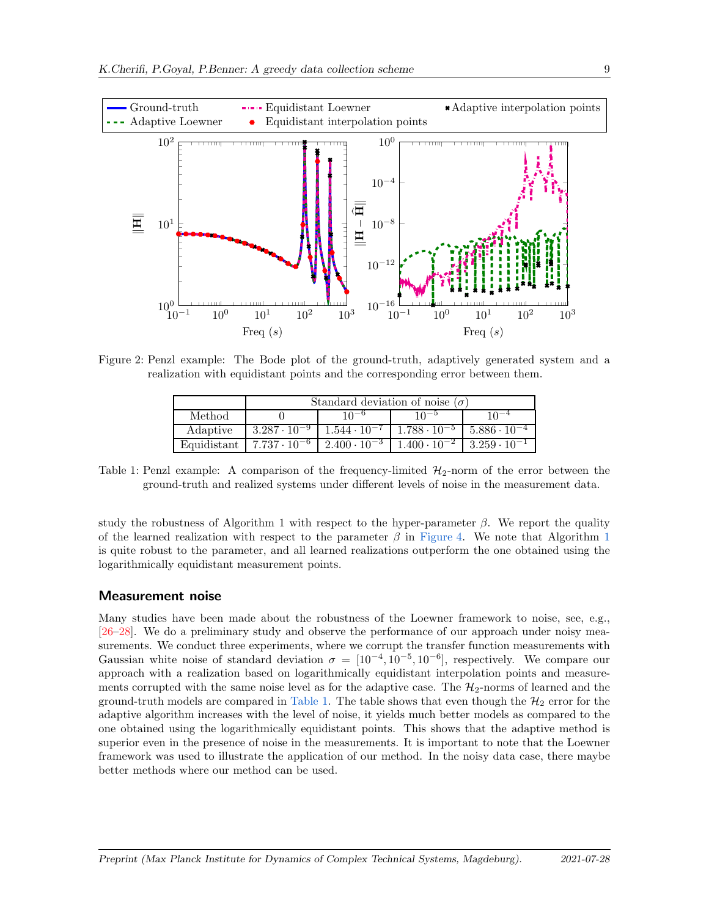<span id="page-8-0"></span>

<span id="page-8-1"></span>Figure 2: Penzl example: The Bode plot of the ground-truth, adaptively generated system and a realization with equidistant points and the corresponding error between them.

|             | Standard deviation of noise $(\sigma)$ |                       |                       |                       |
|-------------|----------------------------------------|-----------------------|-----------------------|-----------------------|
| Method      |                                        |                       |                       |                       |
| Adaptive    | $3.287 \cdot 10^{-9}$                  | $1.544 \cdot 10^{-7}$ | $1.788 \cdot 10^{-5}$ | $5.886 \cdot 10^{-4}$ |
| Equidistant | $7.737 \cdot 10^{-6}$                  | $2.400 \cdot 10^{-3}$ | $1.400 \cdot 10^{-2}$ | $3.259 \cdot 10^{-1}$ |

Table 1: Penzl example: A comparison of the frequency-limited  $\mathcal{H}_2$ -norm of the error between the ground-truth and realized systems under different levels of noise in the measurement data.

study the robustness of Algorithm 1 with respect to the hyper-parameter  $\beta$ . We report the quality of the learned realization with respect to the parameter  $\beta$  in [Figure 4.](#page-10-1) We note that Algorithm [1](#page-5-3) is quite robust to the parameter, and all learned realizations outperform the one obtained using the logarithmically equidistant measurement points.

#### Measurement noise

Many studies have been made about the robustness of the Loewner framework to noise, see, e.g., [\[26–](#page-13-11)[28\]](#page-13-12). We do a preliminary study and observe the performance of our approach under noisy measurements. We conduct three experiments, where we corrupt the transfer function measurements with Gaussian white noise of standard deviation  $\sigma = [10^{-4}, 10^{-5}, 10^{-6}]$ , respectively. We compare our approach with a realization based on logarithmically equidistant interpolation points and measurements corrupted with the same noise level as for the adaptive case. The  $\mathcal{H}_2$ -norms of learned and the ground-truth models are compared in [Table 1.](#page-8-1) The table shows that even though the  $\mathcal{H}_2$  error for the adaptive algorithm increases with the level of noise, it yields much better models as compared to the one obtained using the logarithmically equidistant points. This shows that the adaptive method is superior even in the presence of noise in the measurements. It is important to note that the Loewner framework was used to illustrate the application of our method. In the noisy data case, there maybe better methods where our method can be used.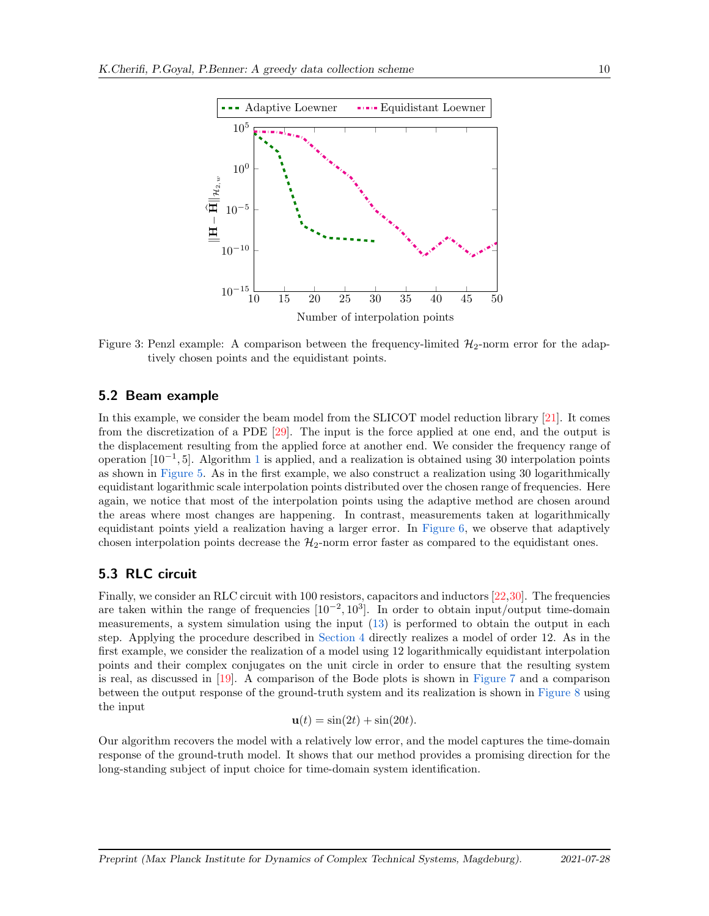<span id="page-9-0"></span>

Figure 3: Penzl example: A comparison between the frequency-limited  $\mathcal{H}_2$ -norm error for the adaptively chosen points and the equidistant points.

#### 5.2 Beam example

In this example, we consider the beam model from the SLICOT model reduction library [\[21\]](#page-13-6). It comes from the discretization of a PDE [\[29\]](#page-13-13). The input is the force applied at one end, and the output is the displacement resulting from the applied force at another end. We consider the frequency range of operation [[1](#page-5-3)0<sup>-1</sup>, 5]. Algorithm 1 is applied, and a realization is obtained using 30 interpolation points as shown in [Figure 5.](#page-10-2) As in the first example, we also construct a realization using 30 logarithmically equidistant logarithmic scale interpolation points distributed over the chosen range of frequencies. Here again, we notice that most of the interpolation points using the adaptive method are chosen around the areas where most changes are happening. In contrast, measurements taken at logarithmically equidistant points yield a realization having a larger error. In [Figure 6,](#page-11-1) we observe that adaptively chosen interpolation points decrease the  $H_2$ -norm error faster as compared to the equidistant ones.

#### 5.3 RLC circuit

Finally, we consider an RLC circuit with 100 resistors, capacitors and inductors [\[22](#page-13-7)[,30\]](#page-13-14). The frequencies are taken within the range of frequencies  $[10^{-2}, 10^3]$ . In order to obtain input/output time-domain measurements, a system simulation using the input [\(13\)](#page-6-0) is performed to obtain the output in each step. Applying the procedure described in [Section 4](#page-5-0) directly realizes a model of order 12. As in the first example, we consider the realization of a model using 12 logarithmically equidistant interpolation points and their complex conjugates on the unit circle in order to ensure that the resulting system is real, as discussed in [\[19\]](#page-13-4). A comparison of the Bode plots is shown in [Figure 7](#page-11-2) and a comparison between the output response of the ground-truth system and its realization is shown in [Figure 8](#page-12-7) using the input

$$
\mathbf{u}(t) = \sin(2t) + \sin(20t).
$$

Our algorithm recovers the model with a relatively low error, and the model captures the time-domain response of the ground-truth model. It shows that our method provides a promising direction for the long-standing subject of input choice for time-domain system identification.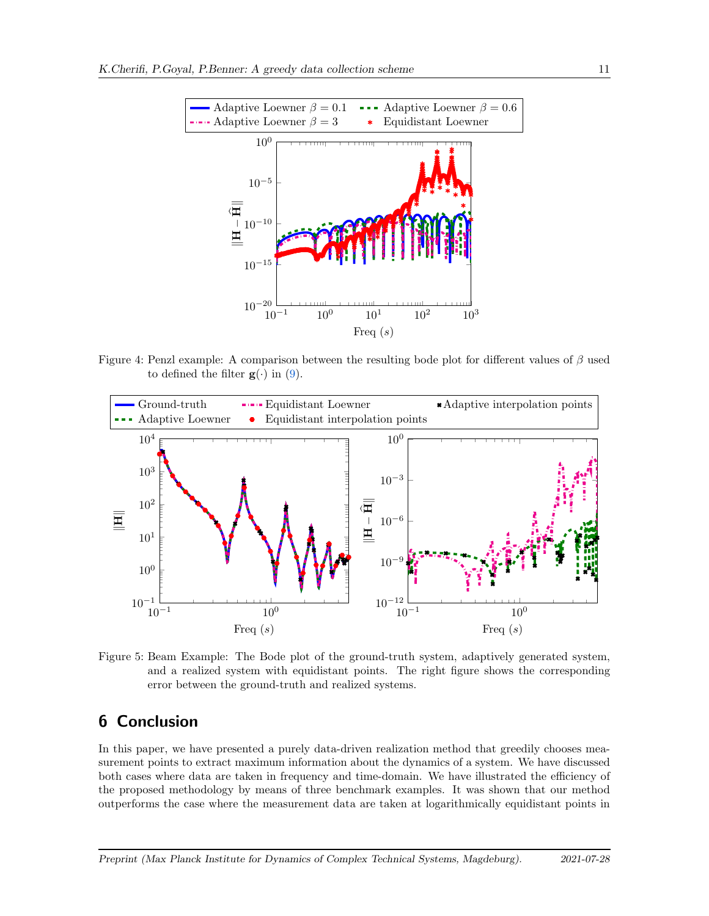<span id="page-10-1"></span>

Figure 4: Penzl example: A comparison between the resulting bode plot for different values of  $\beta$  used to defined the filter  $g(\cdot)$  in [\(9\)](#page-4-2).

<span id="page-10-2"></span>

Figure 5: Beam Example: The Bode plot of the ground-truth system, adaptively generated system, and a realized system with equidistant points. The right figure shows the corresponding error between the ground-truth and realized systems.

## <span id="page-10-0"></span>6 Conclusion

In this paper, we have presented a purely data-driven realization method that greedily chooses measurement points to extract maximum information about the dynamics of a system. We have discussed both cases where data are taken in frequency and time-domain. We have illustrated the efficiency of the proposed methodology by means of three benchmark examples. It was shown that our method outperforms the case where the measurement data are taken at logarithmically equidistant points in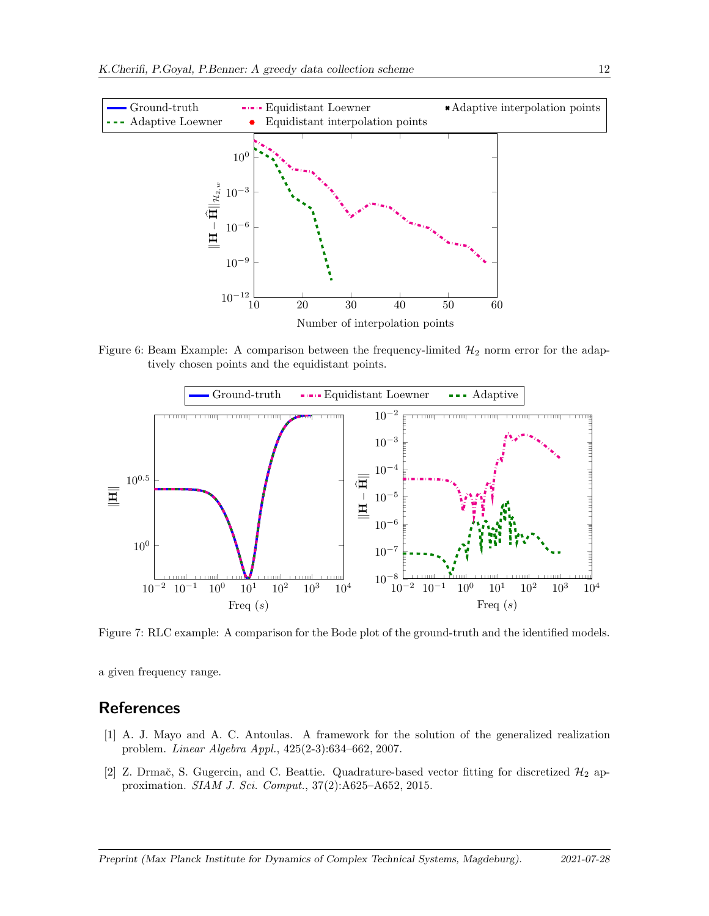<span id="page-11-1"></span>

Figure 6: Beam Example: A comparison between the frequency-limited  $\mathcal{H}_2$  norm error for the adaptively chosen points and the equidistant points.

<span id="page-11-2"></span>

Figure 7: RLC example: A comparison for the Bode plot of the ground-truth and the identified models.

a given frequency range.

# <span id="page-11-0"></span>**References**

- [1] A. J. Mayo and A. C. Antoulas. A framework for the solution of the generalized realization problem. *Linear Algebra Appl.*, 425(2-3):634–662, 2007.
- [2] Z. Drmač, S. Gugercin, and C. Beattie. Quadrature-based vector fitting for discretized  $\mathcal{H}_2$  approximation. *SIAM J. Sci. Comput.*, 37(2):A625–A652, 2015.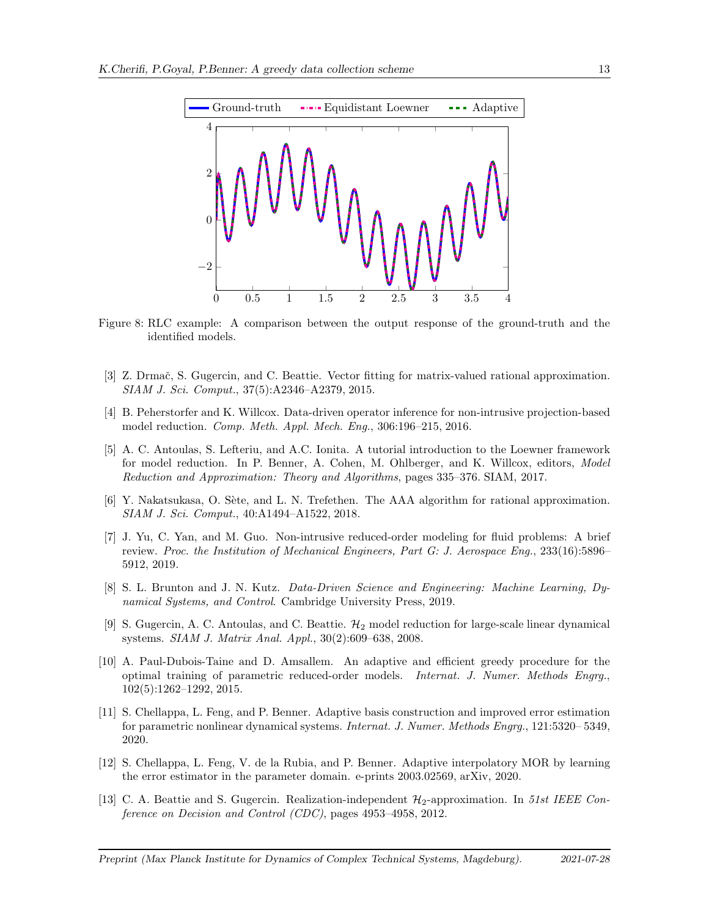<span id="page-12-7"></span>

Figure 8: RLC example: A comparison between the output response of the ground-truth and the identified models.

- [3] Z. Drmač, S. Gugercin, and C. Beattie. Vector fitting for matrix-valued rational approximation. *SIAM J. Sci. Comput.*, 37(5):A2346–A2379, 2015.
- <span id="page-12-2"></span>[4] B. Peherstorfer and K. Willcox. Data-driven operator inference for non-intrusive projection-based model reduction. *Comp. Meth. Appl. Mech. Eng.*, 306:196–215, 2016.
- <span id="page-12-1"></span>[5] A. C. Antoulas, S. Lefteriu, and A.C. Ionita. A tutorial introduction to the Loewner framework for model reduction. In P. Benner, A. Cohen, M. Ohlberger, and K. Willcox, editors, *Model Reduction and Approximation: Theory and Algorithms*, pages 335–376. SIAM, 2017.
- [6] Y. Nakatsukasa, O. Sète, and L. N. Trefethen. The AAA algorithm for rational approximation. *SIAM J. Sci. Comput.*, 40:A1494–A1522, 2018.
- [7] J. Yu, C. Yan, and M. Guo. Non-intrusive reduced-order modeling for fluid problems: A brief review. *Proc. the Institution of Mechanical Engineers, Part G: J. Aerospace Eng.*, 233(16):5896– 5912, 2019.
- <span id="page-12-0"></span>[8] S. L. Brunton and J. N. Kutz. *Data-Driven Science and Engineering: Machine Learning, Dynamical Systems, and Control*. Cambridge University Press, 2019.
- <span id="page-12-3"></span>[9] S. Gugercin, A. C. Antoulas, and C. Beattie.  $\mathcal{H}_2$  model reduction for large-scale linear dynamical systems. *SIAM J. Matrix Anal. Appl.*, 30(2):609–638, 2008.
- <span id="page-12-6"></span>[10] A. Paul-Dubois-Taine and D. Amsallem. An adaptive and efficient greedy procedure for the optimal training of parametric reduced-order models. *Internat. J. Numer. Methods Engrg.*, 102(5):1262–1292, 2015.
- [11] S. Chellappa, L. Feng, and P. Benner. Adaptive basis construction and improved error estimation for parametric nonlinear dynamical systems. *Internat. J. Numer. Methods Engrg.*, 121:5320– 5349, 2020.
- <span id="page-12-4"></span>[12] S. Chellappa, L. Feng, V. de la Rubia, and P. Benner. Adaptive interpolatory MOR by learning the error estimator in the parameter domain. e-prints 2003.02569, arXiv, 2020.
- <span id="page-12-5"></span>[13] C. A. Beattie and S. Gugercin. Realization-independent H2-approximation. In *51st IEEE Conference on Decision and Control (CDC)*, pages 4953–4958, 2012.